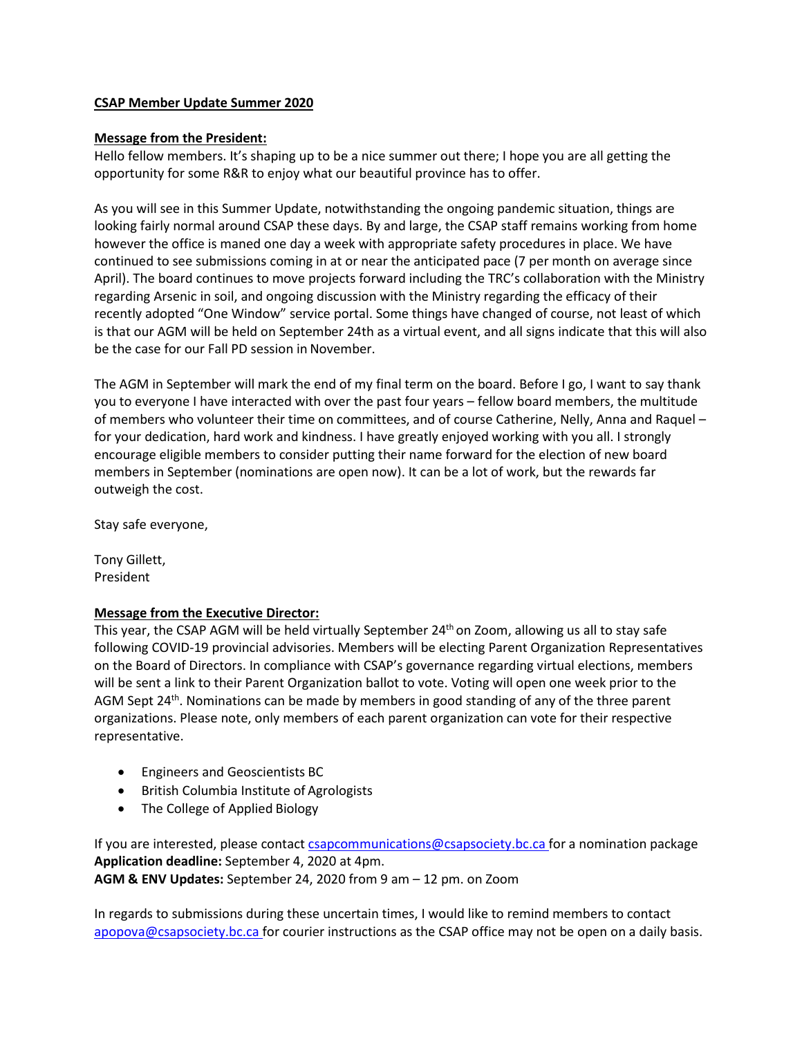### **CSAP Member Update Summer 2020**

#### **Message from the President:**

Hello fellow members. It's shaping up to be a nice summer out there; I hope you are all getting the opportunity for some R&R to enjoy what our beautiful province has to offer.

As you will see in this Summer Update, notwithstanding the ongoing pandemic situation, things are looking fairly normal around CSAP these days. By and large, the CSAP staff remains working from home however the office is maned one day a week with appropriate safety procedures in place. We have continued to see submissions coming in at or near the anticipated pace (7 per month on average since April). The board continues to move projects forward including the TRC's collaboration with the Ministry regarding Arsenic in soil, and ongoing discussion with the Ministry regarding the efficacy of their recently adopted "One Window" service portal. Some things have changed of course, not least of which is that our AGM will be held on September 24th as a virtual event, and all signs indicate that this will also be the case for our Fall PD session in November.

The AGM in September will mark the end of my final term on the board. Before I go, I want to say thank you to everyone I have interacted with over the past four years – fellow board members, the multitude of members who volunteer their time on committees, and of course Catherine, Nelly, Anna and Raquel – for your dedication, hard work and kindness. I have greatly enjoyed working with you all. I strongly encourage eligible members to consider putting their name forward for the election of new board members in September (nominations are open now). It can be a lot of work, but the rewards far outweigh the cost.

Stay safe everyone,

Tony Gillett, President

### **Message from the Executive Director:**

This year, the CSAP AGM will be held virtually September  $24<sup>th</sup>$  on Zoom, allowing us all to stay safe following COVID-19 provincial advisories. Members will be electing Parent Organization Representatives on the Board of Directors. In compliance with CSAP's governance regarding virtual elections, members will be sent a link to their Parent Organization ballot to vote. Voting will open one week prior to the AGM Sept 24<sup>th</sup>. Nominations can be made by members in good standing of any of the three parent organizations. Please note, only members of each parent organization can vote for their respective representative.

- Engineers and Geoscientists BC
- British Columbia Institute of Agrologists
- The College of Applied Biology

If you are interested, please contact [csapcommunications@csapsociety.bc.ca f](mailto:csapcommunications@csapsociety.bc.ca)or a nomination package **Application deadline:** September 4, 2020 at 4pm. **AGM & ENV Updates:** September 24, 2020 from 9 am – 12 pm. on Zoom

In regards to submissions during these uncertain times, I would like to remind members to contact [apopova@csapsociety.bc.ca f](mailto:apopova@csapsociety.bc.ca)or courier instructions as the CSAP office may not be open on a daily basis.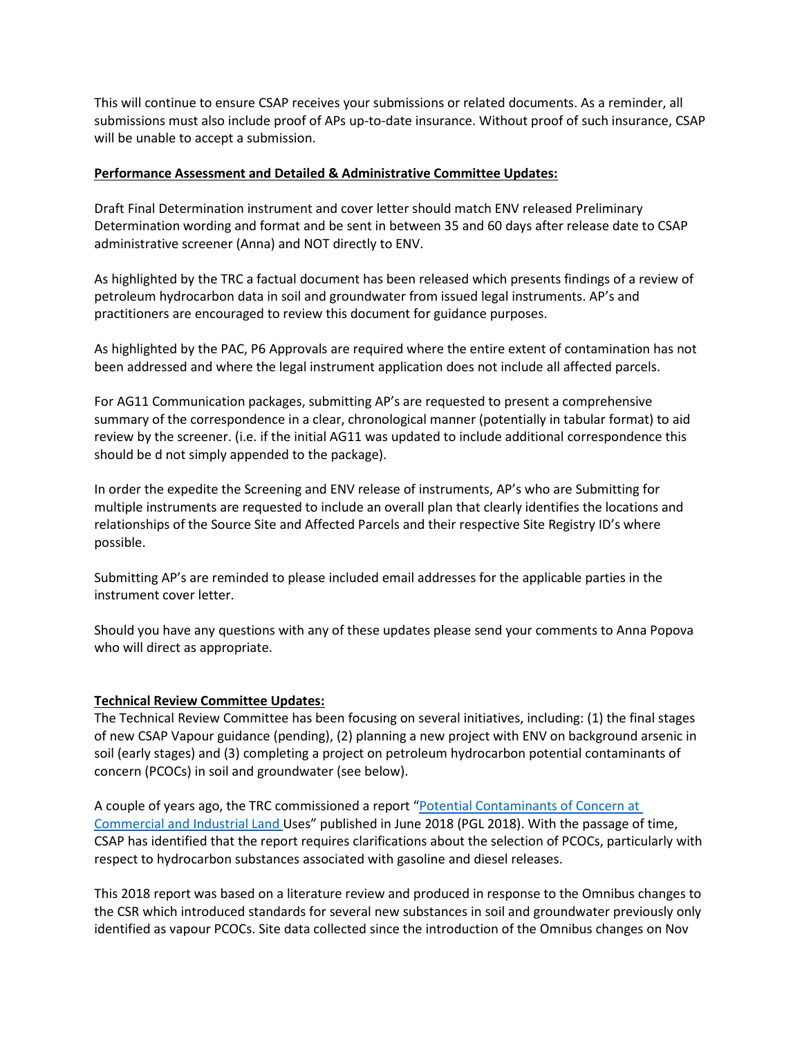This will continue to ensure CSAP receives your submissions or related documents. As a reminder, all submissions must also include proof of APs up-to-date insurance. Without proof of such insurance, CSAP will be unable to accept a submission.

### **Performance Assessment and Detailed & Administrative Committee Updates:**

Draft Final Determination instrument and cover letter should match ENV released Preliminary Determination wording and format and be sent in between 35 and 60 days after release date to CSAP administrative screener (Anna) and NOT directly to ENV.

As highlighted by the TRC a factual document has been released which presents findings of a review of petroleum hydrocarbon data in soil and groundwater from issued legal instruments. AP's and practitioners are encouraged to review this document for guidance purposes.

As highlighted by the PAC, P6 Approvals are required where the entire extent of contamination has not been addressed and where the legal instrument application does not include all affected parcels.

For AG11 Communication packages, submitting AP's are requested to present a comprehensive summary of the correspondence in a clear, chronological manner (potentially in tabular format) to aid review by the screener. (i.e. if the initial AG11 was updated to include additional correspondence this should be d not simply appended to the package).

In order the expedite the Screening and ENV release of instruments, AP's who are Submitting for multiple instruments are requested to include an overall plan that clearly identifies the locations and relationships of the Source Site and Affected Parcels and their respective Site Registry ID's where possible.

Submitting AP's are reminded to please included email addresses for the applicable parties in the instrument cover letter.

Should you have any questions with any of these updates please send your comments to Anna Popova who will direct as appropriate.

### **Technical Review Committee Updates:**

The Technical Review Committee has been focusing on several initiatives, including: (1) the final stages of new CSAP Vapour guidance (pending), (2) planning a new project with ENV on background arsenic in soil (early stages) and (3) completing a project on petroleum hydrocarbon potential contaminants of concern (PCOCs) in soil and groundwater (see below).

A couple of years ago, the TRC commissioned a report ["Potential Contaminants of Concern at](http://csapsociety.bc.ca/wp-content/uploads/r-PCOC-Guidance-June-2018-V1.0-002.pdf) [Commercial and Industrial Land U](http://csapsociety.bc.ca/wp-content/uploads/r-PCOC-Guidance-June-2018-V1.0-002.pdf)ses" published in June 2018 (PGL 2018). With the passage of time, CSAP has identified that the report requires clarifications about the selection of PCOCs, particularly with respect to hydrocarbon substances associated with gasoline and diesel releases.

This 2018 report was based on a literature review and produced in response to the Omnibus changes to the CSR which introduced standards for several new substances in soil and groundwater previously only identified as vapour PCOCs. Site data collected since the introduction of the Omnibus changes on Nov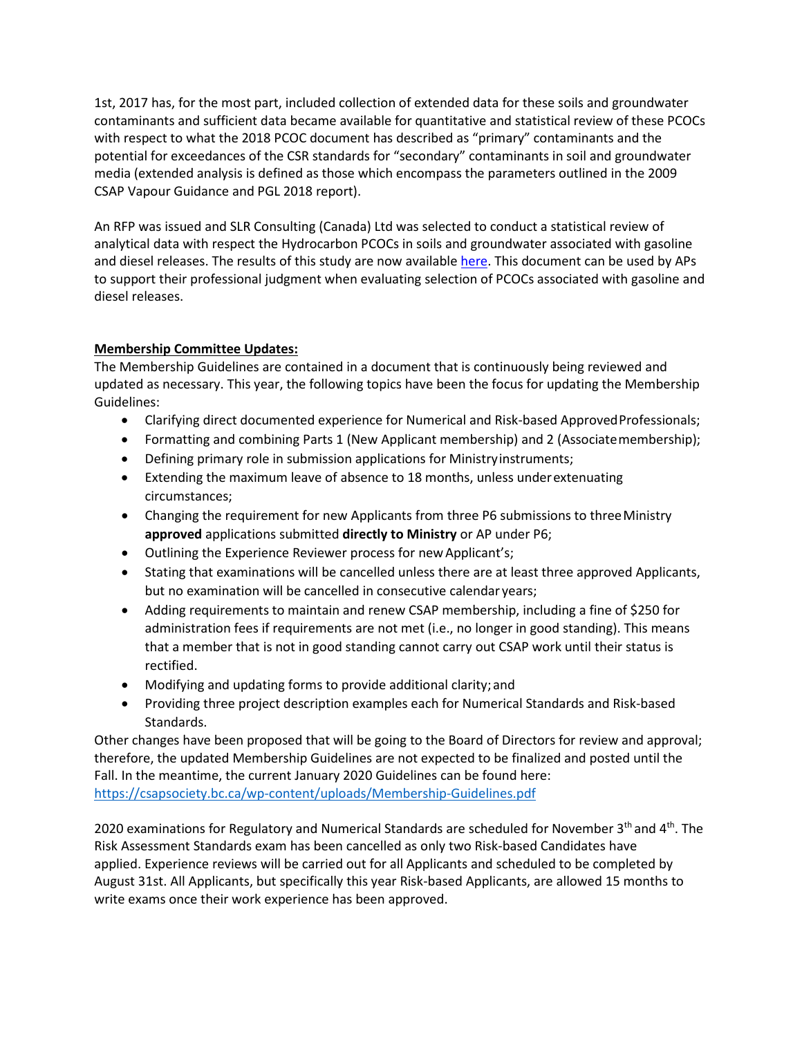1st, 2017 has, for the most part, included collection of extended data for these soils and groundwater contaminants and sufficient data became available for quantitative and statistical review of these PCOCs with respect to what the 2018 PCOC document has described as "primary" contaminants and the potential for exceedances of the CSR standards for "secondary" contaminants in soil and groundwater media (extended analysis is defined as those which encompass the parameters outlined in the 2009 CSAP Vapour Guidance and PGL 2018 report).

An RFP was issued and SLR Consulting (Canada) Ltd was selected to conduct a statistical review of analytical data with respect the Hydrocarbon PCOCs in soils and groundwater associated with gasoline and diesel releases. The results of this study are now available [here.](http://csapsociety.bc.ca/wp-content/uploads/CSAP-Petroleum-Hydrocarbonl-PCOC-Review-Final-2020-06-10-.pdf) This document can be used by APs to support their professional judgment when evaluating selection of PCOCs associated with gasoline and diesel releases.

# **Membership Committee Updates:**

The Membership Guidelines are contained in a document that is continuously being reviewed and updated as necessary. This year, the following topics have been the focus for updating the Membership Guidelines:

- Clarifying direct documented experience for Numerical and Risk-based Approved Professionals;
- Formatting and combining Parts 1 (New Applicant membership) and 2 (Associatemembership);
- Defining primary role in submission applications for Ministryinstruments;
- Extending the maximum leave of absence to 18 months, unless underextenuating circumstances;
- Changing the requirement for new Applicants from three P6 submissions to threeMinistry **approved** applications submitted **directly to Ministry** or AP under P6;
- Outlining the Experience Reviewer process for new Applicant's;
- Stating that examinations will be cancelled unless there are at least three approved Applicants, but no examination will be cancelled in consecutive calendar years;
- Adding requirements to maintain and renew CSAP membership, including a fine of \$250 for administration fees if requirements are not met (i.e., no longer in good standing). This means that a member that is not in good standing cannot carry out CSAP work until their status is rectified.
- Modifying and updating forms to provide additional clarity;and
- Providing three project description examples each for Numerical Standards and Risk-based Standards.

Other changes have been proposed that will be going to the Board of Directors for review and approval; therefore, the updated Membership Guidelines are not expected to be finalized and posted until the Fall. In the meantime, the current January 2020 Guidelines can be found here: [https://csapsociety.bc.ca/wp-content/uploads/Membership-Guidelines.pdf](https://urldefense.proofpoint.com/v2/url?u=https-3A__csapsociety.bc.ca_wp-2Dcontent_uploads_Membership-2DGuidelines.pdf&d=DwMFAg&c=ukT25UmkSFgENae3bmQPWw&r=-bMaZSORcXlCCxFC6lQUwlIlltBMph2b4mG3HlzUNa48h0FYQcd9YFIKm7ZUoA4Q&m=XHAwJRNPP_SN2QVg_5CPBr20gUrDyFuUNLMsUz98Jyk&s=YwuBkS1XFvwUqnYU4hcq5rPTeM9BjDdQpM9m-0glT9U&e)

2020 examinations for Regulatory and Numerical Standards are scheduled for November 3<sup>th</sup> and 4<sup>th</sup>. The Risk Assessment Standards exam has been cancelled as only two Risk-based Candidates have applied. Experience reviews will be carried out for all Applicants and scheduled to be completed by August 31st. All Applicants, but specifically this year Risk-based Applicants, are allowed 15 months to write exams once their work experience has been approved.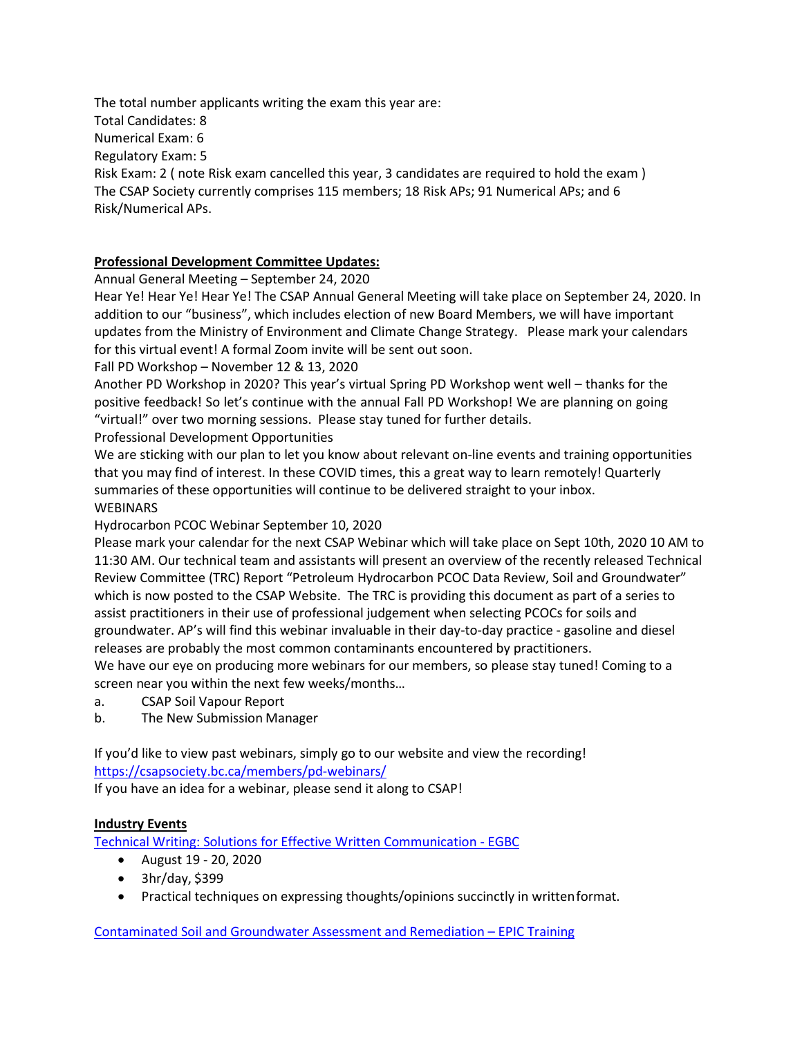The total number applicants writing the exam this year are: Total Candidates: 8 Numerical Exam: 6 Regulatory Exam: 5 Risk Exam: 2 ( note Risk exam cancelled this year, 3 candidates are required to hold the exam ) The CSAP Society currently comprises 115 members; 18 Risk APs; 91 Numerical APs; and 6 Risk/Numerical APs.

## **Professional Development Committee Updates:**

Annual General Meeting – September 24, 2020

Hear Ye! Hear Ye! Hear Ye! The CSAP Annual General Meeting will take place on September 24, 2020. In addition to our "business", which includes election of new Board Members, we will have important updates from the Ministry of Environment and Climate Change Strategy. Please mark your calendars for this virtual event! A formal Zoom invite will be sent out soon.

Fall PD Workshop – November 12 & 13, 2020

Another PD Workshop in 2020? This year's virtual Spring PD Workshop went well – thanks for the positive feedback! So let's continue with the annual Fall PD Workshop! We are planning on going "virtual!" over two morning sessions. Please stay tuned for further details.

Professional Development Opportunities

We are sticking with our plan to let you know about relevant on-line events and training opportunities that you may find of interest. In these COVID times, this a great way to learn remotely! Quarterly summaries of these opportunities will continue to be delivered straight to your inbox. **WEBINARS** 

Hydrocarbon PCOC Webinar September 10, 2020

Please mark your calendar for the next CSAP Webinar which will take place on Sept 10th, 2020 10 AM to 11:30 AM. Our technical team and assistants will present an overview of the recently released Technical Review Committee (TRC) Report "Petroleum Hydrocarbon PCOC Data Review, Soil and Groundwater" which is now posted to the CSAP Website. The TRC is providing this document as part of a series to assist practitioners in their use of professional judgement when selecting PCOCs for soils and groundwater. AP's will find this webinar invaluable in their day-to-day practice - gasoline and diesel releases are probably the most common contaminants encountered by practitioners.

We have our eye on producing more webinars for our members, so please stay tuned! Coming to a screen near you within the next few weeks/months…

- a. CSAP Soil Vapour Report
- b. The New Submission Manager

If you'd like to view past webinars, simply go to our website and view the recording! <https://csapsociety.bc.ca/members/pd-webinars/>

If you have an idea for a webinar, please send it along to CSAP!

# **Industry Events**

[Technical Writing: Solutions for Effective Written Communication -](https://www.egbc.ca/Events/Events/2020/20AUGTWZ) EGBC

- August 19 20, 2020
- 3hr/day, \$399
- Practical techniques on expressing thoughts/opinions succinctly in writtenformat.

[Contaminated Soil and Groundwater Assessment and Remediation –](https://www.epictraining.ca/webinar/16903/online/contaminated-soil-and-groundwater-assessment-and-remediation) EPIC Training